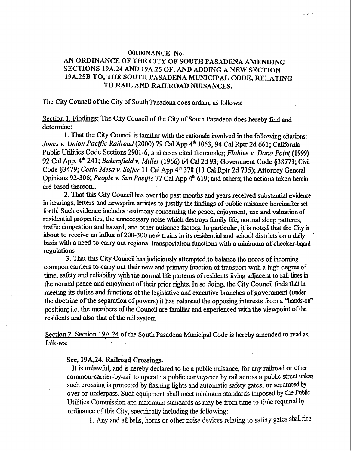# **ORDINANCE No.**<br> **AN ORDINANCE OF THE CITY OF SOUTH PASADENA AMENDING SECTIONS 19A.24 AND 19A.25 OF, AND ADDING A NEW SECTION 19A.25B TO, THE SOUTH PASADENA MUNICIPAL CODE, RELATING**  TO RAIL AND RAILROAD NUISANCES.

# The City Council of the City of South Pasadena does ordain, as follows:

Section 1. Findings: The City Council of the City of South Pasadena does hereby find and determine:

1. That the City Council is familiar with the rationale involved in the following citations: Jones v. Union Pacific Railroad (2000) 79 Cal App 4<sup>th</sup> 1053, 94 Cal Rptr 2d 661; California Public Utilities Code Sections 2901-6, and cases cited thereunder; *Flahive v.* Dana *Point (1999)*  92 Cal App. 4' **24** <sup>1</sup>; *Bakersfield* **v.** *Miller* (1 966) **64** Cal2d 93; Government Code \$3877 1; Cid Code \$3479; *Costa Mesa* **v.** *Sof/er* 11 Cal App 4' 378 (13 **Cal** Rptr 2d 735); Attorney General Opinions 92-306; People **v.** *Sun Pacijic* 77 **Cal** App **4'** 619; and others; the actions taken herein are based thereon.

2. That this City Council has over the past months and years received substantial evidence in hearings, letters and newsprint articles to justify the findings of public nuisance hereinafter set forth: Such evidence includes testimony concerning the peace, enjoyment, use and valuation of residential properties, the unnecessary noise which destroys family life, normal sleep patterns, traffic congestion and hazard, and other nuisance factors. In particular, it is noted that the City is about to receive an influx of 200-300 new trains in its residential and school districts on a daily basis with a need to carry out regional transportation functions with a minimum of checker-board regulations

3. That this City Council has judiciously attempted to **balance** the need. of incoming common carriers to carry out their new and primary fimction of transport with a high degree of time, safety and reliability with the normal life patterns of residents living adjacent to rail lines in the normal peace and enjoyment of their prior rights. In so doing, the City Council finds that in meeting its duties and functions of the legislative and executive branches of government (under the doctrine of the separation of powers) it **has** balanced the opposing interests fiom a **"hands-on"**  position; i.e. the members of the Council are familiar and experienced with the viewpoint of the residents and also that of the rail system

Section 2. Section 19A.24 of the South Pasadena Municipal Code is hereby amended to read as follows:

### Set, **19A,24. Railroad Crossmgs.**

It **is** unlawful, and is hereby declared to be a public nuisance, for any railroad or other common-carrier-by-rail to operate a public conveyance by rail across a public street **unless**  such crossing is protected by flashing lights and automatic safety gates, or separated **by**  over or underpass. Such equipment shall met minimum standards imposed by the Public Utilities commission **and** maximum standards **as** may **lx** from tiw to time required **by**  ordinance of this City, specifically including the following:

1. Any and all bells, horns or other noise devices relating to safety gates shall ring